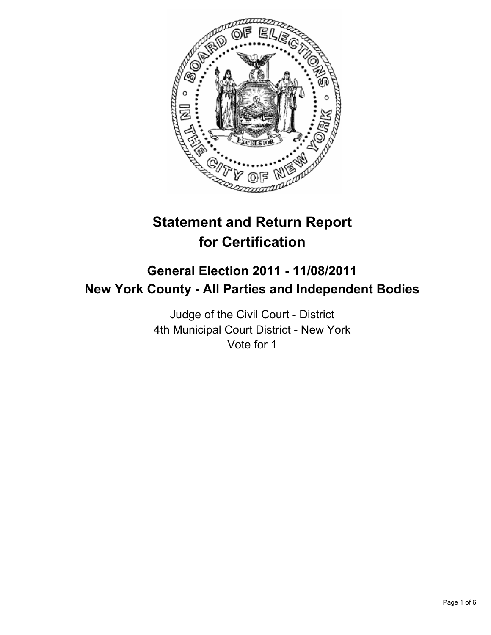

# **Statement and Return Report for Certification**

## **General Election 2011 - 11/08/2011 New York County - All Parties and Independent Bodies**

Judge of the Civil Court - District 4th Municipal Court District - New York Vote for 1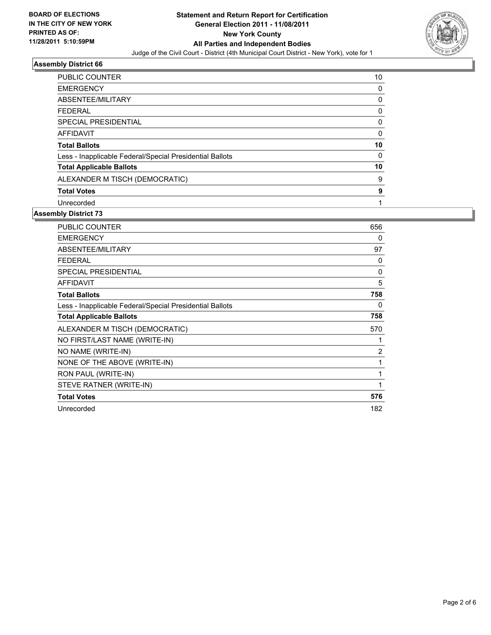

## **Assembly District 66**

| <b>PUBLIC COUNTER</b>                                    | 10       |
|----------------------------------------------------------|----------|
| <b>EMERGENCY</b>                                         | 0        |
| ABSENTEE/MILITARY                                        | 0        |
| <b>FEDERAL</b>                                           | 0        |
| SPECIAL PRESIDENTIAL                                     | 0        |
| <b>AFFIDAVIT</b>                                         | 0        |
| <b>Total Ballots</b>                                     | 10       |
| Less - Inapplicable Federal/Special Presidential Ballots | $\Omega$ |
| <b>Total Applicable Ballots</b>                          | 10       |
| ALEXANDER M TISCH (DEMOCRATIC)                           | 9        |
| <b>Total Votes</b>                                       | 9        |
| Unrecorded                                               |          |

#### **Assembly District 73**

| <b>PUBLIC COUNTER</b>                                    | 656 |
|----------------------------------------------------------|-----|
| <b>EMERGENCY</b>                                         | 0   |
| <b>ABSENTEE/MILITARY</b>                                 | 97  |
| <b>FEDERAL</b>                                           | 0   |
| <b>SPECIAL PRESIDENTIAL</b>                              | 0   |
| <b>AFFIDAVIT</b>                                         | 5   |
| <b>Total Ballots</b>                                     | 758 |
| Less - Inapplicable Federal/Special Presidential Ballots | 0   |
| <b>Total Applicable Ballots</b>                          | 758 |
| ALEXANDER M TISCH (DEMOCRATIC)                           | 570 |
| NO FIRST/LAST NAME (WRITE-IN)                            | 1   |
| NO NAME (WRITE-IN)                                       | 2   |
| NONE OF THE ABOVE (WRITE-IN)                             | 1   |
| RON PAUL (WRITE-IN)                                      | 1   |
| STEVE RATNER (WRITE-IN)                                  | 1   |
| <b>Total Votes</b>                                       | 576 |
| Unrecorded                                               | 182 |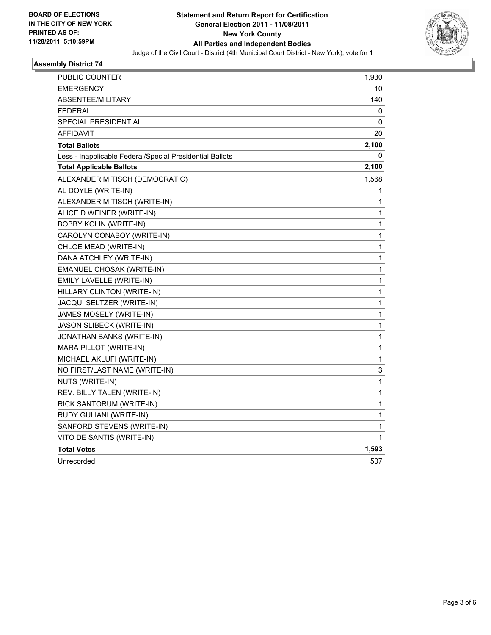

## **Assembly District 74**

| PUBLIC COUNTER                                           | 1,930        |
|----------------------------------------------------------|--------------|
| <b>EMERGENCY</b>                                         | 10           |
| ABSENTEE/MILITARY                                        | 140          |
| <b>FEDERAL</b>                                           | 0            |
| SPECIAL PRESIDENTIAL                                     | 0            |
| AFFIDAVIT                                                | 20           |
| <b>Total Ballots</b>                                     | 2,100        |
| Less - Inapplicable Federal/Special Presidential Ballots | 0            |
| <b>Total Applicable Ballots</b>                          | 2,100        |
| ALEXANDER M TISCH (DEMOCRATIC)                           | 1,568        |
| AL DOYLE (WRITE-IN)                                      | 1            |
| ALEXANDER M TISCH (WRITE-IN)                             | 1            |
| ALICE D WEINER (WRITE-IN)                                | 1            |
| <b>BOBBY KOLIN (WRITE-IN)</b>                            | 1            |
| CAROLYN CONABOY (WRITE-IN)                               | 1            |
| CHLOE MEAD (WRITE-IN)                                    | $\mathbf{1}$ |
| DANA ATCHLEY (WRITE-IN)                                  | 1            |
| EMANUEL CHOSAK (WRITE-IN)                                | 1            |
| EMILY LAVELLE (WRITE-IN)                                 | 1            |
| HILLARY CLINTON (WRITE-IN)                               | 1            |
| JACQUI SELTZER (WRITE-IN)                                | 1            |
| JAMES MOSELY (WRITE-IN)                                  | $\mathbf{1}$ |
| <b>JASON SLIBECK (WRITE-IN)</b>                          | 1            |
| JONATHAN BANKS (WRITE-IN)                                | 1            |
| MARA PILLOT (WRITE-IN)                                   | 1            |
| MICHAEL AKLUFI (WRITE-IN)                                | 1            |
| NO FIRST/LAST NAME (WRITE-IN)                            | 3            |
| NUTS (WRITE-IN)                                          | 1            |
| REV. BILLY TALEN (WRITE-IN)                              | 1            |
| RICK SANTORUM (WRITE-IN)                                 | $\mathbf{1}$ |
| RUDY GULIANI (WRITE-IN)                                  | 1            |
| SANFORD STEVENS (WRITE-IN)                               | 1            |
| VITO DE SANTIS (WRITE-IN)                                | 1            |
| <b>Total Votes</b>                                       | 1,593        |
| Unrecorded                                               | 507          |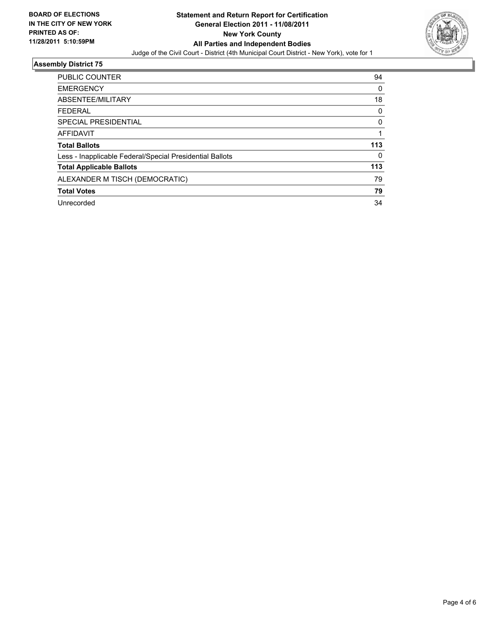

## **Assembly District 75**

| PUBLIC COUNTER                                           | 94  |
|----------------------------------------------------------|-----|
| <b>EMERGENCY</b>                                         | 0   |
| ABSENTEE/MILITARY                                        | 18  |
| <b>FEDERAL</b>                                           | 0   |
| SPECIAL PRESIDENTIAL                                     | 0   |
| <b>AFFIDAVIT</b>                                         |     |
| <b>Total Ballots</b>                                     | 113 |
| Less - Inapplicable Federal/Special Presidential Ballots | 0   |
| <b>Total Applicable Ballots</b>                          | 113 |
| ALEXANDER M TISCH (DEMOCRATIC)                           | 79  |
| <b>Total Votes</b>                                       | 79  |
| Unrecorded                                               | 34  |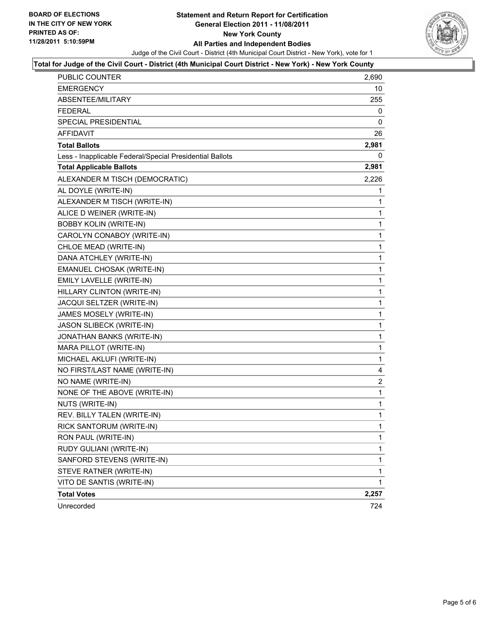

#### **Total for Judge of the Civil Court - District (4th Municipal Court District - New York) - New York County**

| <b>PUBLIC COUNTER</b>                                    | 2,690          |
|----------------------------------------------------------|----------------|
| <b>EMERGENCY</b>                                         | 10             |
| ABSENTEE/MILITARY                                        | 255            |
| <b>FEDERAL</b>                                           | 0              |
| <b>SPECIAL PRESIDENTIAL</b>                              | 0              |
| <b>AFFIDAVIT</b>                                         | 26             |
| <b>Total Ballots</b>                                     | 2,981          |
| Less - Inapplicable Federal/Special Presidential Ballots | 0              |
| <b>Total Applicable Ballots</b>                          | 2,981          |
| ALEXANDER M TISCH (DEMOCRATIC)                           | 2,226          |
| AL DOYLE (WRITE-IN)                                      | 1              |
| ALEXANDER M TISCH (WRITE-IN)                             | 1              |
| ALICE D WEINER (WRITE-IN)                                | 1              |
| <b>BOBBY KOLIN (WRITE-IN)</b>                            | 1              |
| CAROLYN CONABOY (WRITE-IN)                               | 1              |
| CHLOE MEAD (WRITE-IN)                                    | 1              |
| DANA ATCHLEY (WRITE-IN)                                  | 1              |
| EMANUEL CHOSAK (WRITE-IN)                                | 1              |
| EMILY LAVELLE (WRITE-IN)                                 | 1              |
| HILLARY CLINTON (WRITE-IN)                               | 1              |
| JACQUI SELTZER (WRITE-IN)                                | 1              |
| JAMES MOSELY (WRITE-IN)                                  | 1              |
| JASON SLIBECK (WRITE-IN)                                 | 1              |
| JONATHAN BANKS (WRITE-IN)                                | 1              |
| MARA PILLOT (WRITE-IN)                                   | 1              |
| MICHAEL AKLUFI (WRITE-IN)                                | 1              |
| NO FIRST/LAST NAME (WRITE-IN)                            | 4              |
| NO NAME (WRITE-IN)                                       | $\overline{c}$ |
| NONE OF THE ABOVE (WRITE-IN)                             | 1              |
| NUTS (WRITE-IN)                                          | 1              |
| REV. BILLY TALEN (WRITE-IN)                              | 1              |
| RICK SANTORUM (WRITE-IN)                                 | 1              |
| RON PAUL (WRITE-IN)                                      | 1              |
| RUDY GULIANI (WRITE-IN)                                  | 1              |
| SANFORD STEVENS (WRITE-IN)                               | 1              |
| STEVE RATNER (WRITE-IN)                                  | 1              |
| VITO DE SANTIS (WRITE-IN)                                | 1              |
| <b>Total Votes</b>                                       | 2,257          |
| Unrecorded                                               | 724            |